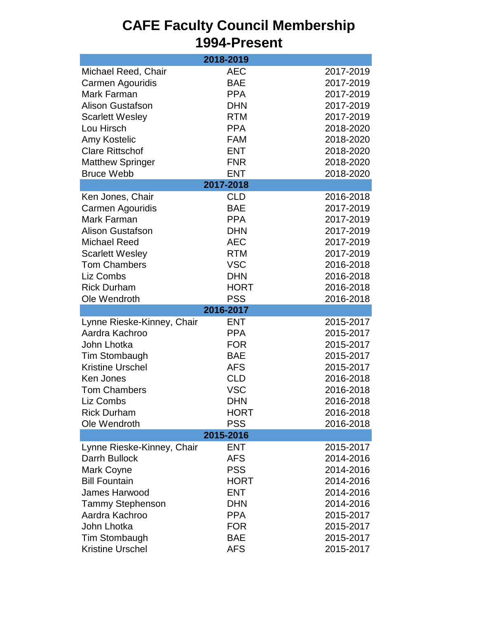#### **CAFE Faculty Council Membership 1994-Present** Michael Reed, Chair **AEC** 2017-2019 Carmen Agouridis BAE 2017-2019 Mark Farman **PPA** 2017-2019 Alison Gustafson **DHN** 2017-2019 Scarlett Wesley **RTM** 2017-2019 Lou Hirsch PPA 2018-2020 Amy Kostelic FAM 2018-2020 Clare Rittschof ENT 2018-2020 Matthew Springer FNR 2018-2020 Bruce Webb **ENT** 2018-2020 Ken Jones, Chair **CLD** 2016-2018 Carmen Agouridis BAE 2017-2019 Mark Farman **PPA** 2017-2019 Alison Gustafson **DHN** 2017-2019 Michael Reed AEC 2017-2019 Scarlett Wesley **RTM** 2017-2019 Tom Chambers VSC 2016-2018 Liz Combs DHN 2016-2018 Rick Durham **HORT** 2016-2018 Ole Wendroth PSS 2016-2018 Lynne Rieske-Kinney, Chair ENT 2015-2017 Aardra Kachroo PPA 2015-2017 John Lhotka FOR 2015-2017 Tim Stombaugh BAE 2015-2017 Kristine Urschel AFS 2015-2017 Ken Jones CLD 2016-2018 Tom Chambers VSC 2016-2018 Liz Combs DHN 2016-2018 Rick Durham **HORT** 2016-2018 Ole Wendroth **PSS** 2016-2018 Lynne Rieske-Kinney, Chair ENT 2015-2017 Darrh Bullock **AFS** 2014-2016 Mark Coyne **PSS** 2014-2016 Bill Fountain HORT 2014-2016 James Harwood ENT 2014-2016 Tammy Stephenson DHN 2014-2016 Aardra Kachroo PPA 2015-2017 John Lhotka FOR 2015-2017 Tim Stombaugh BAE 2015-2017 Kristine Urschel AFS 2015-2017 **2018-2019 2017-2018 2016-2017 2015-2016**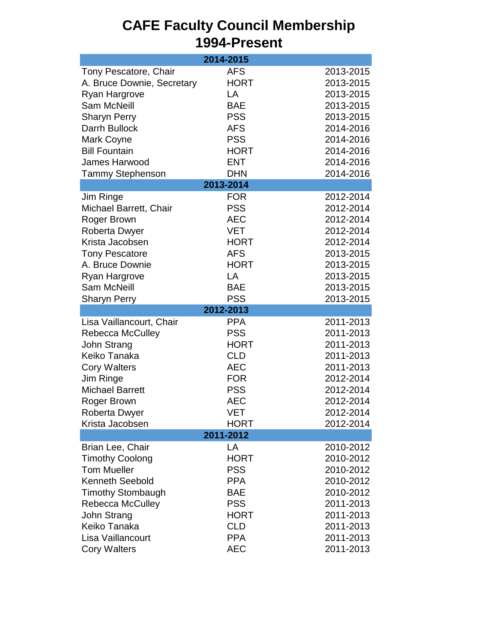| 1994-Present                                                                                                                                                                                                                 |                                                                                                                                                         |                                                                                                                                |  |  |  |
|------------------------------------------------------------------------------------------------------------------------------------------------------------------------------------------------------------------------------|---------------------------------------------------------------------------------------------------------------------------------------------------------|--------------------------------------------------------------------------------------------------------------------------------|--|--|--|
|                                                                                                                                                                                                                              | 2014-2015                                                                                                                                               |                                                                                                                                |  |  |  |
| Tony Pescatore, Chair<br>A. Bruce Downie, Secretary<br><b>Ryan Hargrove</b><br><b>Sam McNeill</b><br><b>Sharyn Perry</b><br>Darrh Bullock<br>Mark Coyne<br><b>Bill Fountain</b>                                              | <b>AFS</b><br><b>HORT</b><br>LA<br><b>BAE</b><br><b>PSS</b><br><b>AFS</b><br><b>PSS</b><br><b>HORT</b>                                                  | 2013-2015<br>2013-2015<br>2013-2015<br>2013-2015<br>2013-2015<br>2014-2016<br>2014-2016<br>2014-2016                           |  |  |  |
| James Harwood                                                                                                                                                                                                                | <b>ENT</b>                                                                                                                                              | 2014-2016                                                                                                                      |  |  |  |
| <b>Tammy Stephenson</b>                                                                                                                                                                                                      | <b>DHN</b>                                                                                                                                              | 2014-2016                                                                                                                      |  |  |  |
|                                                                                                                                                                                                                              | 2013-2014                                                                                                                                               |                                                                                                                                |  |  |  |
| Jim Ringe<br>Michael Barrett, Chair<br>Roger Brown<br><b>Roberta Dwyer</b><br>Krista Jacobsen<br><b>Tony Pescatore</b><br>A. Bruce Downie<br>Ryan Hargrove<br><b>Sam McNeill</b><br><b>Sharyn Perry</b>                      | <b>FOR</b><br><b>PSS</b><br><b>AEC</b><br><b>VET</b><br><b>HORT</b><br><b>AFS</b><br><b>HORT</b><br>LA<br><b>BAE</b><br><b>PSS</b>                      | 2012-2014<br>2012-2014<br>2012-2014<br>2012-2014<br>2012-2014<br>2013-2015<br>2013-2015<br>2013-2015<br>2013-2015<br>2013-2015 |  |  |  |
|                                                                                                                                                                                                                              | 2012-2013                                                                                                                                               |                                                                                                                                |  |  |  |
| Lisa Vaillancourt, Chair<br><b>Rebecca McCulley</b><br>John Strang<br>Keiko Tanaka<br><b>Cory Walters</b><br>Jim Ringe<br><b>Michael Barrett</b><br>Roger Brown<br>Roberta Dwyer<br>Krista Jacobsen                          | <b>PPA</b><br><b>PSS</b><br><b>HORT</b><br><b>CLD</b><br><b>AEC</b><br><b>FOR</b><br><b>PSS</b><br><b>AEC</b><br><b>VET</b><br><b>HORT</b><br>2011-2012 | 2011-2013<br>2011-2013<br>2011-2013<br>2011-2013<br>2011-2013<br>2012-2014<br>2012-2014<br>2012-2014<br>2012-2014<br>2012-2014 |  |  |  |
|                                                                                                                                                                                                                              | LA                                                                                                                                                      |                                                                                                                                |  |  |  |
| Brian Lee, Chair<br><b>Timothy Coolong</b><br><b>Tom Mueller</b><br><b>Kenneth Seebold</b><br><b>Timothy Stombaugh</b><br><b>Rebecca McCulley</b><br>John Strang<br>Keiko Tanaka<br>Lisa Vaillancourt<br><b>Cory Walters</b> | <b>HORT</b><br><b>PSS</b><br><b>PPA</b><br><b>BAE</b><br><b>PSS</b><br><b>HORT</b><br><b>CLD</b><br><b>PPA</b><br><b>AEC</b>                            | 2010-2012<br>2010-2012<br>2010-2012<br>2010-2012<br>2010-2012<br>2011-2013<br>2011-2013<br>2011-2013<br>2011-2013<br>2011-2013 |  |  |  |

# **CAFE Faculty Council Membership**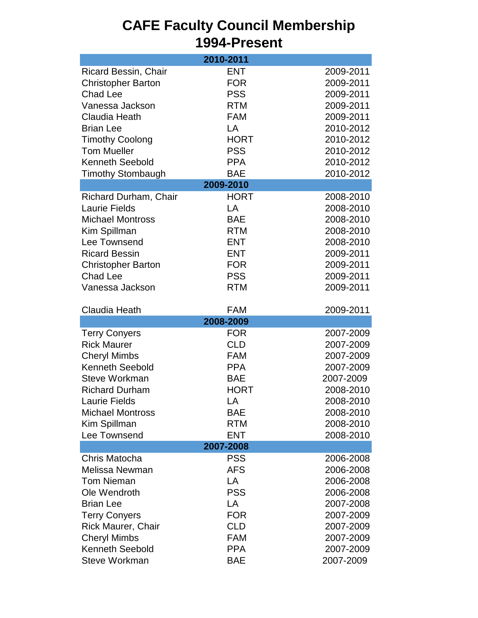#### **CAFE Faculty Council Membership 1994-Present** Ricard Bessin, Chair **ENT** 2009-2011 Christopher Barton FOR 2009-2011 Chad Lee **PSS** 2009-2011 Vanessa Jackson RTM 2009-2011 Claudia Heath FAM 2009-2011 Brian Lee LA 2010-2012 Timothy Coolong **HORT** 2010-2012 Tom Mueller **PSS** 2010-2012 Kenneth Seebold PPA 2010-2012 Timothy Stombaugh BAE 2010-2012 Richard Durham, Chair **HORT** 2008-2010 Laurie Fields **LA** 2008-2010 Michael Montross BAE 2008-2010 Kim Spillman **RTM** 2008-2010 Lee Townsend **ENT** 2008-2010 Ricard Bessin **ENT** 2009-2011 Christopher Barton FOR 2009-2011 Chad Lee **PSS** 2009-2011 Vanessa Jackson RTM 2009-2011 Claudia Heath FAM 2009-2011 Terry Conyers **FOR** 2007-2009 Rick Maurer **CLD** 2007-2009 Cheryl Mimbs FAM 2007-2009 Kenneth Seebold PPA 2007-2009 Steve Workman BAE 2007-2009 Richard Durham **HORT** 2008-2010 Laurie Fields **LA** 2008-2010 Michael Montross BAE 2008-2010 Kim Spillman **RTM** 2008-2010 Lee Townsend ENT 2008-2010 Chris Matocha PSS 2006-2008 Melissa Newman **AFS** 2006-2008 Tom Nieman LA 2006-2008 Ole Wendroth PSS 2006-2008 Brian Lee LA 2007-2008 Terry Conyers **FOR** 2007-2009 Rick Maurer, Chair **CLD** 2007-2009 Cheryl Mimbs FAM 2007-2009 Kenneth Seebold PPA 2007-2009 **2010-2011 2009-2010 2008-2009 2007-2008**

Steve Workman BAE 2007-2009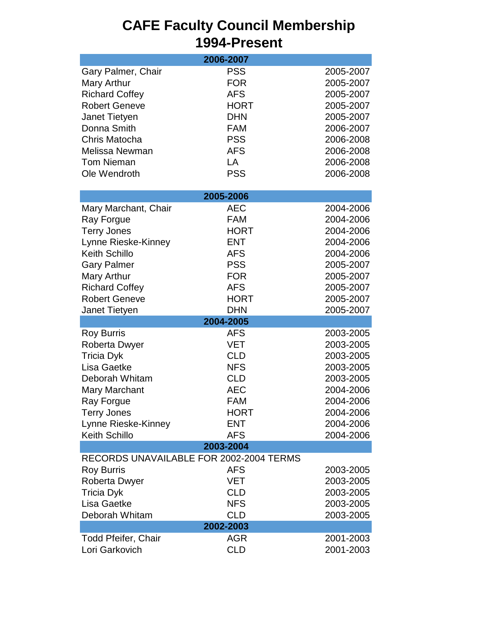### **CAFE Faculty Council Membership 1994-Present**

| 2006-2007                               |             |           |  |  |
|-----------------------------------------|-------------|-----------|--|--|
| Gary Palmer, Chair                      | <b>PSS</b>  | 2005-2007 |  |  |
| Mary Arthur                             | <b>FOR</b>  | 2005-2007 |  |  |
| <b>Richard Coffey</b>                   | <b>AFS</b>  | 2005-2007 |  |  |
| <b>Robert Geneve</b>                    | <b>HORT</b> | 2005-2007 |  |  |
| Janet Tietyen                           | <b>DHN</b>  | 2005-2007 |  |  |
| Donna Smith                             | <b>FAM</b>  | 2006-2007 |  |  |
| Chris Matocha                           | <b>PSS</b>  | 2006-2008 |  |  |
| Melissa Newman                          | <b>AFS</b>  | 2006-2008 |  |  |
| <b>Tom Nieman</b>                       | LA          | 2006-2008 |  |  |
| Ole Wendroth                            | <b>PSS</b>  | 2006-2008 |  |  |
|                                         | 2005-2006   |           |  |  |
| Mary Marchant, Chair                    | <b>AEC</b>  | 2004-2006 |  |  |
| Ray Forgue                              | <b>FAM</b>  | 2004-2006 |  |  |
| <b>Terry Jones</b>                      | <b>HORT</b> | 2004-2006 |  |  |
| Lynne Rieske-Kinney                     | <b>ENT</b>  | 2004-2006 |  |  |
| <b>Keith Schillo</b>                    | <b>AFS</b>  | 2004-2006 |  |  |
| <b>Gary Palmer</b>                      | <b>PSS</b>  | 2005-2007 |  |  |
| Mary Arthur                             | <b>FOR</b>  | 2005-2007 |  |  |
| <b>Richard Coffey</b>                   | <b>AFS</b>  | 2005-2007 |  |  |
| <b>Robert Geneve</b>                    | <b>HORT</b> | 2005-2007 |  |  |
| Janet Tietyen                           | <b>DHN</b>  | 2005-2007 |  |  |
|                                         | 2004-2005   |           |  |  |
| <b>Roy Burris</b>                       | <b>AFS</b>  | 2003-2005 |  |  |
| Roberta Dwyer                           | <b>VET</b>  | 2003-2005 |  |  |
| <b>Tricia Dyk</b>                       | <b>CLD</b>  | 2003-2005 |  |  |
| Lisa Gaetke                             | <b>NFS</b>  | 2003-2005 |  |  |
| Deborah Whitam                          | <b>CLD</b>  | 2003-2005 |  |  |
| <b>Mary Marchant</b>                    | <b>AEC</b>  | 2004-2006 |  |  |
| Ray Forgue                              | FAM         | 2004-2006 |  |  |
| <b>Terry Jones</b>                      | <b>HORT</b> | 2004-2006 |  |  |
| Lynne Rieske-Kinney                     | <b>ENT</b>  | 2004-2006 |  |  |
| <b>Keith Schillo</b>                    | <b>AFS</b>  | 2004-2006 |  |  |
| 2003-2004                               |             |           |  |  |
| RECORDS UNAVAILABLE FOR 2002-2004 TERMS |             |           |  |  |
| <b>Roy Burris</b>                       | <b>AFS</b>  | 2003-2005 |  |  |
| <b>Roberta Dwyer</b>                    | VET         | 2003-2005 |  |  |
| <b>Tricia Dyk</b>                       | <b>CLD</b>  | 2003-2005 |  |  |
| Lisa Gaetke                             | <b>NFS</b>  | 2003-2005 |  |  |
| Deborah Whitam                          | <b>CLD</b>  | 2003-2005 |  |  |
| 2002-2003                               |             |           |  |  |
| <b>Todd Pfeifer, Chair</b>              | <b>AGR</b>  | 2001-2003 |  |  |
| Lori Garkovich                          | <b>CLD</b>  | 2001-2003 |  |  |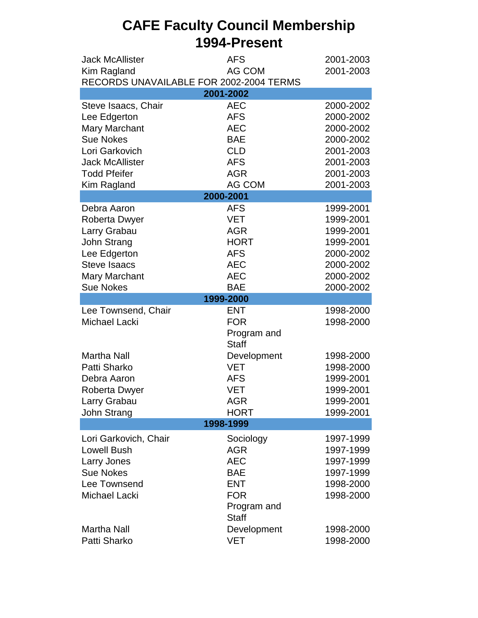### **CAFE Faculty Council Membership 1994-Present**

| <b>Jack McAllister</b>                  | <b>AFS</b>   | 2001-2003 |  |  |  |
|-----------------------------------------|--------------|-----------|--|--|--|
| Kim Ragland                             | AG COM       | 2001-2003 |  |  |  |
| RECORDS UNAVAILABLE FOR 2002-2004 TERMS |              |           |  |  |  |
| 2001-2002                               |              |           |  |  |  |
| Steve Isaacs, Chair                     | <b>AEC</b>   | 2000-2002 |  |  |  |
| Lee Edgerton                            | <b>AFS</b>   | 2000-2002 |  |  |  |
| <b>Mary Marchant</b>                    | <b>AEC</b>   | 2000-2002 |  |  |  |
| <b>Sue Nokes</b>                        | <b>BAE</b>   | 2000-2002 |  |  |  |
| Lori Garkovich                          | <b>CLD</b>   | 2001-2003 |  |  |  |
| <b>Jack McAllister</b>                  | <b>AFS</b>   | 2001-2003 |  |  |  |
| <b>Todd Pfeifer</b>                     | <b>AGR</b>   | 2001-2003 |  |  |  |
| Kim Ragland                             | AG COM       | 2001-2003 |  |  |  |
|                                         | 2000-2001    |           |  |  |  |
| Debra Aaron                             | <b>AFS</b>   | 1999-2001 |  |  |  |
| <b>Roberta Dwyer</b>                    | <b>VET</b>   | 1999-2001 |  |  |  |
| Larry Grabau                            | <b>AGR</b>   | 1999-2001 |  |  |  |
| John Strang                             | <b>HORT</b>  | 1999-2001 |  |  |  |
| Lee Edgerton                            | <b>AFS</b>   | 2000-2002 |  |  |  |
| <b>Steve Isaacs</b>                     | <b>AEC</b>   | 2000-2002 |  |  |  |
| Mary Marchant                           | <b>AEC</b>   | 2000-2002 |  |  |  |
| <b>Sue Nokes</b>                        | <b>BAE</b>   | 2000-2002 |  |  |  |
|                                         | 1999-2000    |           |  |  |  |
| Lee Townsend, Chair                     | <b>ENT</b>   | 1998-2000 |  |  |  |
| <b>Michael Lacki</b>                    | <b>FOR</b>   | 1998-2000 |  |  |  |
|                                         | Program and  |           |  |  |  |
|                                         | <b>Staff</b> |           |  |  |  |
| <b>Martha Nall</b>                      | Development  | 1998-2000 |  |  |  |
| Patti Sharko                            | <b>VET</b>   | 1998-2000 |  |  |  |
| Debra Aaron                             | <b>AFS</b>   | 1999-2001 |  |  |  |
| Roberta Dwyer                           | <b>VET</b>   | 1999-2001 |  |  |  |
| Larry Grabau                            | AGR          | 1999-2001 |  |  |  |
| John Strang                             | <b>HORT</b>  | 1999-2001 |  |  |  |
| 1998-1999                               |              |           |  |  |  |
| Lori Garkovich, Chair                   | Sociology    | 1997-1999 |  |  |  |
| <b>Lowell Bush</b>                      | <b>AGR</b>   | 1997-1999 |  |  |  |
| Larry Jones                             | <b>AEC</b>   | 1997-1999 |  |  |  |
| <b>Sue Nokes</b>                        | <b>BAE</b>   | 1997-1999 |  |  |  |
| Lee Townsend                            | <b>ENT</b>   | 1998-2000 |  |  |  |
| Michael Lacki                           | <b>FOR</b>   | 1998-2000 |  |  |  |
|                                         | Program and  |           |  |  |  |
|                                         | <b>Staff</b> |           |  |  |  |
| <b>Martha Nall</b>                      | Development  | 1998-2000 |  |  |  |
| Patti Sharko                            | VET          | 1998-2000 |  |  |  |